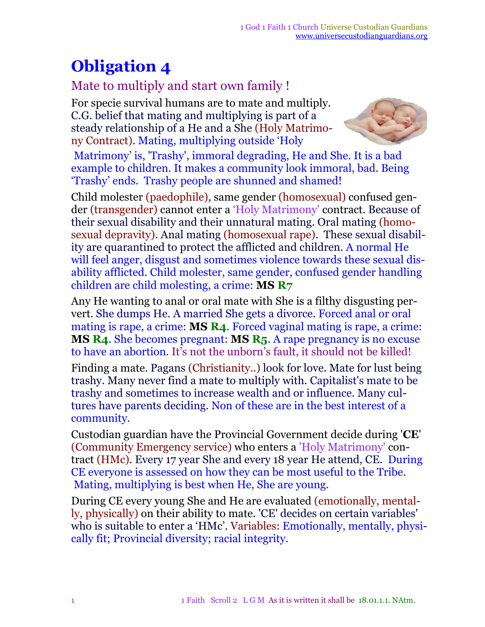## **Obligation 4**

## Mate to multiply and start own family !

For specie survival humans are to mate and multiply. C.G. belief that mating and multiplying is part of a steady relationship of a He and a She (Holy Matrimony Contract). Mating, multiplying outside 'Holy



Matrimony' is, 'Trashy', immoral degrading, He and She. It is a bad example to children. It makes a community look immoral, bad. Being 'Trashy' ends. Trashy people are shunned and shamed!

Child molester (paedophile), same gender (homosexual) confused gender (transgender) cannot enter a 'Holy Matrimony' contract. Because of their sexual disability and their unnatural mating. Oral mating (homosexual depravity). Anal mating (homosexual rape). These sexual disability are quarantined to protect the afflicted and children. A normal He will feel anger, disgust and sometimes violence towards these sexual disability afflicted. Child molester, same gender, confused gender handling children are child molesting, a crime: **MS R7**

Any He wanting to anal or oral mate with She is a filthy disgusting pervert. She dumps He. A married She gets a divorce. Forced anal or oral mating is rape, a crime: **MS R4**. Forced vaginal mating is rape, a crime: **MS R4**. She becomes pregnant: **MS R5**. A rape pregnancy is no excuse to have an abortion. It's not the unborn's fault, it should not be killed!

Finding a mate. Pagans (Christianity..) look for love. Mate for lust being trashy. Many never find a mate to multiply with. Capitalist's mate to be trashy and sometimes to increase wealth and or influence. Many cultures have parents deciding. Non of these are in the best interest of a community.

Custodian guardian have the Provincial Government decide during '**CE**' (Community Emergency service) who enters a 'Holy Matrimony' contract (HMc). Every 17 year She and every 18 year He attend, CE. During CE everyone is assessed on how they can be most useful to the Tribe. Mating, multiplying is best when He, She are young.

During CE every young She and He are evaluated (emotionally, mentally, physically) on their ability to mate. 'CE' decides on certain variables' who is suitable to enter a 'HMc'. Variables: Emotionally, mentally, physically fit; Provincial diversity; racial integrity.